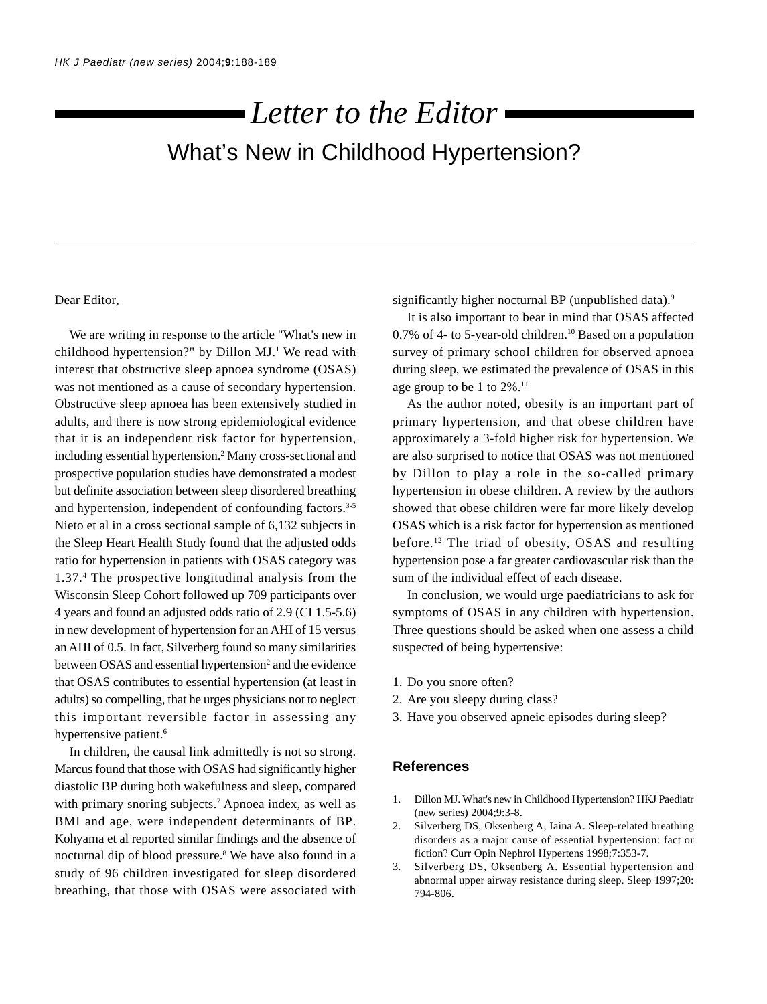# What's New in Childhood Hypertension? *Letter to the Editor*

## Dear Editor,

We are writing in response to the article "What's new in childhood hypertension?" by Dillon MJ.<sup>1</sup> We read with interest that obstructive sleep apnoea syndrome (OSAS) was not mentioned as a cause of secondary hypertension. Obstructive sleep apnoea has been extensively studied in adults, and there is now strong epidemiological evidence that it is an independent risk factor for hypertension, including essential hypertension.2 Many cross-sectional and prospective population studies have demonstrated a modest but definite association between sleep disordered breathing and hypertension, independent of confounding factors.3-5 Nieto et al in a cross sectional sample of 6,132 subjects in the Sleep Heart Health Study found that the adjusted odds ratio for hypertension in patients with OSAS category was 1.37.4 The prospective longitudinal analysis from the Wisconsin Sleep Cohort followed up 709 participants over 4 years and found an adjusted odds ratio of 2.9 (CI 1.5-5.6) in new development of hypertension for an AHI of 15 versus an AHI of 0.5. In fact, Silverberg found so many similarities between OSAS and essential hypertension<sup>2</sup> and the evidence that OSAS contributes to essential hypertension (at least in adults) so compelling, that he urges physicians not to neglect this important reversible factor in assessing any hypertensive patient.<sup>6</sup>

In children, the causal link admittedly is not so strong. Marcus found that those with OSAS had significantly higher diastolic BP during both wakefulness and sleep, compared with primary snoring subjects.<sup>7</sup> Apnoea index, as well as BMI and age, were independent determinants of BP. Kohyama et al reported similar findings and the absence of nocturnal dip of blood pressure.<sup>8</sup> We have also found in a study of 96 children investigated for sleep disordered breathing, that those with OSAS were associated with significantly higher nocturnal BP (unpublished data).<sup>9</sup>

It is also important to bear in mind that OSAS affected 0.7% of 4- to 5-year-old children.<sup>10</sup> Based on a population survey of primary school children for observed apnoea during sleep, we estimated the prevalence of OSAS in this age group to be 1 to 2%.<sup>11</sup>

As the author noted, obesity is an important part of primary hypertension, and that obese children have approximately a 3-fold higher risk for hypertension. We are also surprised to notice that OSAS was not mentioned by Dillon to play a role in the so-called primary hypertension in obese children. A review by the authors showed that obese children were far more likely develop OSAS which is a risk factor for hypertension as mentioned before.12 The triad of obesity, OSAS and resulting hypertension pose a far greater cardiovascular risk than the sum of the individual effect of each disease.

In conclusion, we would urge paediatricians to ask for symptoms of OSAS in any children with hypertension. Three questions should be asked when one assess a child suspected of being hypertensive:

- 1. Do you snore often?
- 2. Are you sleepy during class?
- 3. Have you observed apneic episodes during sleep?

## **References**

- 1. Dillon MJ. What's new in Childhood Hypertension? HKJ Paediatr (new series) 2004;9:3-8.
- 2. Silverberg DS, Oksenberg A, Iaina A. Sleep-related breathing disorders as a major cause of essential hypertension: fact or fiction? Curr Opin Nephrol Hypertens 1998;7:353-7.
- 3. Silverberg DS, Oksenberg A. Essential hypertension and abnormal upper airway resistance during sleep. Sleep 1997;20: 794-806.